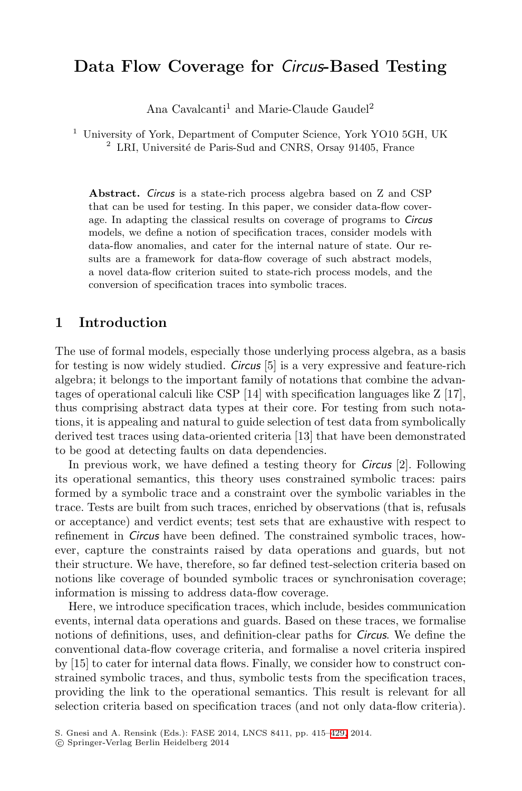# **Data Flow Coverage for** *Circus***-Based Testing**

Ana Cavalcanti<sup>1</sup> and Marie-Claude Gaudel<sup>2</sup>

<sup>1</sup> University of York, Department of Computer Science, York YO10 5GH, UK  $^{2}$  LRI, Université de Paris-Sud and CNRS, Orsay 91405, France

**Abstract.** *Circus* is a state-rich process algebra based on Z and CSP that can be used for testing. In this paper, we consider data-flow coverage. In adapting the classical results on coverage of programs to *Circus* models, we define a notion of specification traces, consider models with data-flow anomalies, and cater for the internal nature of state. Our results are a framework for data-flow coverage of such abstract models, a novel data-flow criterion suited to state-rich process models, and the conversion of specification traces into symbolic traces.

### **1 Introduction**

The use of formal models, especially those underlying process algebra, as a basis for testing is now widely studied. *Circus* [5] is a very expressive and feature-rich algebra; it belongs to the important family of notations that combine the advantages of operational calculi like CSP [14] with specification languages like Z [17], thus comprising abstract data types at their core. For testing from such notations, it is appealing and natural to guide selection of test data from symbolically derived test traces using data-oriented criteria [13] that have been demonstrated to be good at detecting faults on data dependencies.

In previous work, we have defined a testing theory for *Circus* [2]. Following its operational semantics, this theory uses constrained symbolic traces: pairs formed by a symbolic trace and a constraint over the symbolic variables in the trace. Tests are built from such traces, enriched by observations (that is, refusals or acceptance) and verdict events; test sets that are exhaustive with respect to refinement in *Circus* have been defined. The constrained symbolic traces, however, capture the constraints raised by data operations and guards, but not their structure. We have, therefore, so far defined test-selection criteria based on notions like coverage of bounded symbolic traces or synchronisation coverage; information is missing to address data-flow coverage.

Here, we introduce specification traces, which include, besides communication events, internal data operations an[d gu](#page-14-0)ards. Based on these traces, we formalise notions of definitions, uses, and definition-clear paths for *Circus*. We define the conventional data-flow coverage criteria, and formalise a novel criteria inspired by [15] to cater for internal data flows. Finally, we consider how to construct constrained symbolic traces, and thus, symbolic tests from the specification traces, providing the link to the operational semantics. This result is relevant for all selection criteria based on specification traces (and not only data-flow criteria).

S. Gnesi and A. Rensink (Eds.): FASE 2014, LNCS 8411, pp. 415–429, 2014.

<sup>-</sup>c Springer-Verlag Berlin Heidelberg 2014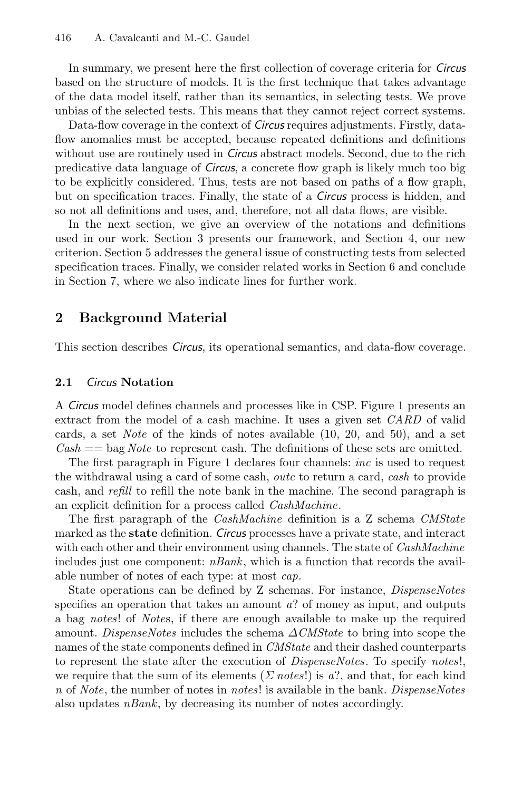In summary, we present here the first collection of coverage criteria for *Circus* based on the structure of models. It is the first technique that takes advantage of the data model itself, rather than its semantics, in selecting tests. We prove unbias of the selected tests. This means that they cannot reject correct systems.

Data-flow coverage in the context of *Circus* requires adjustments. Firstly, dataflow anomalies must be accepted, because repeated definitions and definitions without use are routinely used in *Circus* abstract models. Second, due to the rich predicative data language of *Circus*, a concrete flow graph is likely much too big to be explicitly considered. Thus, tests are not based on paths of a flow graph, but on specification traces. Finally, the state of a *Circus* process is hidden, and so not all definitions and uses, and, therefore, not all data flows, are visible.

In the next section, we give an overview of the notations and definitions used in our work. Section 3 presents our framework, and Section 4, our new criterion. Section 5 addresses the general issue of constructing tests from selected specification traces. Finally, we consider related works in Section 6 and conclude in Section 7, where we also indicate lines for further work.

# **2 Background Material**

This section describes *Circus*, its operational semantics, and data-flow coverage.

#### **2.1** *Circus* **Notation**

A *Circus* model defines channels and processes like in CSP. Figure 1 presents an extract from the model of a cash machine. It uses a given set *CARD* of valid cards, a set *Note* of the kinds of notes available (10, 20, and 50), and a set *Cash* == bag *Note* to represent cash. The definitions of these sets are omitted.

The first paragraph in Figure 1 declares four channels: *inc* is used to request the withdrawal using a card of some cash, *outc* to return a card, *cash* to provide cash, and *refill* to refill the note bank in the machine. The second paragraph is an explicit definition for a process called *CashMachine*.

The first paragraph of the *CashMachine* definition is a Z schema *CMState* marked as the **state** definition. *Circus* processes have a private state, and interact with each other and their environment using channels. The state of *CashMachine* includes just one component: *nBank*, which is a function that records the available number of notes of each type: at most *cap*.

State operations can be defined by Z schemas. For instance, *DispenseNotes* specifies an operation that takes an amount *a*? of money as input, and outputs a bag *notes*! of *Note*s, if there are enough available to make up the required amount. *DispenseNotes* includes the schema Δ*CMState* to bring into scope the names of the state components defined in *CMState* and their dashed counterparts to represent the state after the execution of *DispenseNotes*. To specify *notes*!, we require that the sum of its elements ( $\Sigma$  *notes*!) is a?, and that, for each kind *n* of *Note*, the number of notes in *notes*! is available in the bank. *DispenseNotes* also updates *nBank*, by decreasing its number of notes accordingly.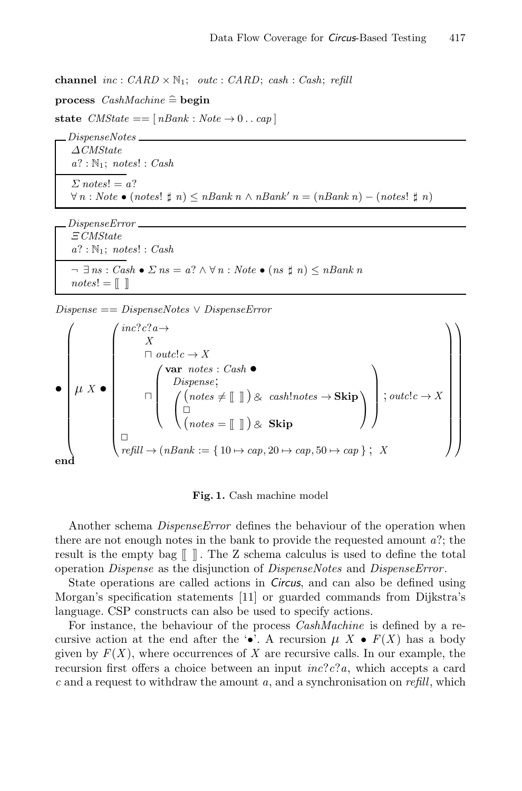**channel** *inc* : *CARD* <sup>×</sup> <sup>N</sup>1; *outc* : *CARD*; *cash* : *Cash*; *refill*

**channel**  $inc: CARD \times \mathbb{R}$ <br>**process**  $CashMachine \cong$ **begin**  $CashMachine \nightharpoonup \nightharpoonup \nightharpoonup \nightharpoonup$ 

**state**  $CMState = [nBank : Note \rightarrow 0 .. cap]$ <br>*DispenseNotes* 

 $\triangle CMState$ <br>*a*? · N<sub>1</sub> · notes *a*? : <sup>N</sup>1; *notes*! : *Cash*  $\Sigma$  *notes*! = *a*?<br> $\forall n \cdot Note \bullet (n)$ <sup>∀</sup> *n* : *Note* • (*notes*! *n*) <sup>≤</sup> *nBank n* <sup>∧</sup> *nBank*- *n* = (*nBank n*) <sup>−</sup> (*notes*! *n*)

*<u>E</u>CMState*<br>  $a^2$  · N<sub>1</sub> · notes *a*? : <sup>N</sup>1; *notes*! : *Cash*  $\neg \exists \text{ns} : \text{Cash} \bullet \text{ } \Sigma \text{ ns} = \text{a?} \land \forall \text{ } n : \text{Note} \bullet (\text{ns } \text{ } \mathsf{t} \text{ } \text{ } n) \leq \text{ } n \text{Bank } n$  $notes! = []$ 

*Dispense* == *DispenseNotes* <sup>∨</sup> *DispenseError*

$$
Dispense == DispenseNotes \vee Dispense Error
$$
\n
$$
\begin{pmatrix}\n\begin{pmatrix}\n\text{inc?c?a} \rightarrow \\
X \\
\text{m outclc} \rightarrow X \\
\text{m over notes : Cash}\n\end{pmatrix}\n\end{pmatrix}
$$
\n
$$
\begin{pmatrix}\n\text{var notes : Cash}\n\end{pmatrix}
$$
\n
$$
\begin{pmatrix}\n\text{var notes : Cash}\n\end{pmatrix}
$$
\n
$$
\begin{pmatrix}\n(\text{notes} \neq [\text{[]}]) \& cash!notes \rightarrow \text{Skip} \\
(\text{notes} = [\text{[]}]) \& \text{Skip}\n\end{pmatrix}
$$
\n
$$
\begin{pmatrix}\n\text{outclc} \rightarrow X \\
\text{outclc} \rightarrow X \\
\text{reld} \rightarrow (\text{nBank} := \{10 \mapsto \text{cap}, 20 \mapsto \text{cap}, 50 \mapsto \text{cap}\} ; X\n\end{pmatrix}
$$

#### **Fig. 1.** Cash machine model

Another schema *DispenseError* defines the behaviour of the operation when there are not enough notes in the bank to provide the requested amount *a*?; the result is the empty bag  $\llbracket \cdot \rrbracket$ . The Z schema calculus is used to define the total operation *Dispense* as the disjunction of *DispenseNotes* and *DispenseError* .

State operations are called actions in *Circus*, and can also be defined using Morgan's specification statements [11] or guarded commands from Dijkstra's language. CSP constructs can also be used to specify actions.

For instance, the behaviour of the process *CashMachine* is defined by a recursive action at the end after the  $\cdot \bullet$ . A recursion  $\mu X \bullet F(X)$  has a body given by  $F(X)$ , where occurrences of X are recursive calls. In our example, the recursion first offers a choice between an input *inc*?*c*?*a*, which accepts a card *c* and a request to withdraw the amount *a*, and a synchronisation on *refill*, which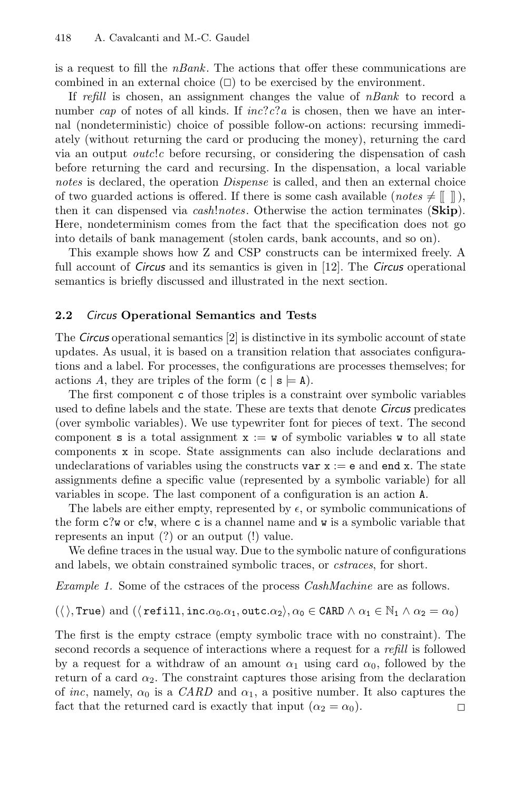is a request to fill the *nBank*. The actions that offer these communications are combined in an external choice  $(\Box)$  to be exercised by the environment.

If *refill* is chosen, an assignment changes the value of *nBank* to record a number *cap* of notes of all kinds. If *inc*?*c*?*a* is chosen, then we have an internal (nondeterministic) choice of possible follow-on actions: recursing immediately (without returning the card or producing the money), returning the card via an output *outc*!*c* before recursing, or considering the dispensation of cash before returning the card and recursing. In the dispensation, a local variable *notes* is declared, the operation *Dispense* is called, and then an external choice of two guarded actions is offered. If there is some cash available  $(notes \neq [\Box])$ , then it can dispensed via *cash*!*notes*. Otherwise the action terminates (**Skip**). Here, nondeterminism comes from the fact that the specification does not go into details of bank management (stolen cards, bank accounts, and so on).

This example shows how Z and CSP constructs can be intermixed freely. A full account of *Circus* and its semantics is given in [12]. The *Circus* operational semantics is briefly discussed and illustrated in the next section.

### **2.2** *Circus* **Operational Semantics and Tests**

The *Circus* operational semantics [2] is distinctive in its symbolic account of state updates. As usual, it is based on a transition relation that associates configurations and a label. For processes, the configurations are processes themselves; for actions A, they are triples of the form  $(c | s \models A)$ .

The first component c of those triples is a constraint over symbolic variables used to define labels and the state. These are texts that denote *Circus* predicates (over symbolic variables). We use typewriter font for pieces of text. The second component **s** is a total assignment  $x := \mathbf{w}$  of symbolic variables  $\mathbf{w}$  to all state components x in scope. State assignments can also include declarations and undeclarations of variables using the constructs var  $x := e$  and end x. The state assignments define a specific value (represented by a symbolic variable) for all variables in scope. The last component of a configuration is an action A.

The labels are either empty, represented by  $\epsilon$ , or symbolic communications of the form  $c$ ?w or  $c w$ , where c is a channel name and w is a symbolic variable that represents an input (?) or an output (!) value.

We define traces in the usual way. Due to the symbolic nature of configurations and labels, we obtain constrained symbolic traces, or *cstraces*, for short.

*Example 1.* Some of the cstraces of the process *CashMachine* are as follows.

 $(\langle \rangle, \texttt{True})$  and  $(\langle \texttt{refill}, \texttt{inc}. \alpha_0. \alpha_1, \texttt{outc}.\alpha_2 \rangle, \alpha_0 \in \texttt{CARD} \land \alpha_1 \in \mathbb{N}_1 \land \alpha_2 = \alpha_0)$ 

The first is the empty cstrace (empty symbolic trace with no constraint). The second records a sequence of interactions where a request for a *refill* is followed by a request for a withdraw of an amount  $\alpha_1$  using card  $\alpha_0$ , followed by the return of a card  $\alpha_2$ . The constraint captures those arising from the declaration of *inc*, namely,  $\alpha_0$  is a *CARD* and  $\alpha_1$ , a positive number. It also captures the fact that the returned card is exactly that input  $(\alpha_2 = \alpha_0)$ .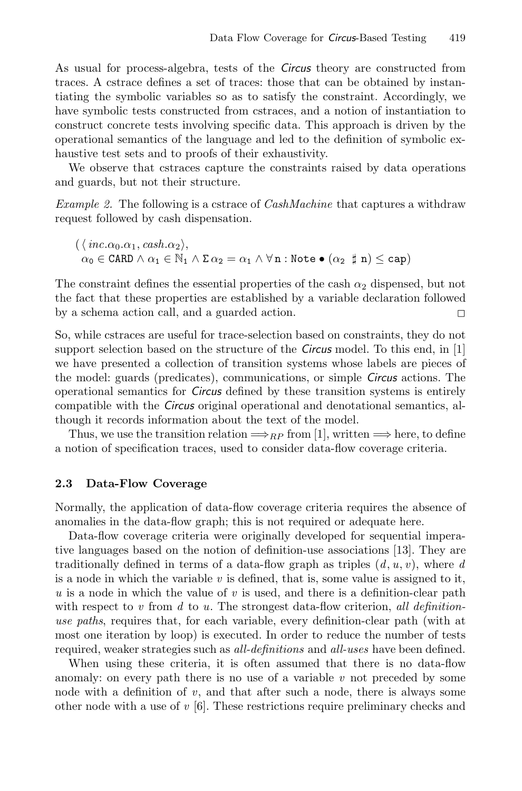As usual for process-algebra, tests of the *Circus* theory are constructed from traces. A cstrace defines a set of traces: those that can be obtained by instantiating the symbolic variables so as to satisfy the constraint. Accordingly, we have symbolic tests constructed from cstraces, and a notion of instantiation to construct concrete tests involving specific data. This approach is driven by the operational semantics of the language and led to the definition of symbolic exhaustive test sets and to proofs of their exhaustivity.

We observe that cstraces capture the constraints raised by data operations and guards, but not their structure.

*Example 2.* The following is a cstrace of *CashMachine* that captures a withdraw request followed by cash dispensation.

 $(\langle inc.\alpha_0.\alpha_1, cash.\alpha_2 \rangle,$  $\alpha_0 \in \texttt{CARD} \land \alpha_1 \in \mathbb{N}_1 \land \Sigma \, \alpha_2 = \alpha_1 \land \forall \, \texttt{n} : \texttt{Note} \bullet (\alpha_2 \texttt{\#} \texttt{n}) \leq \texttt{cap}$ 

The constraint defines the essential properties of the cash  $\alpha_2$  dispensed, but not the fact that these properties are established by a variable declaration followed by a schema action call, and a guarded action.  $\Box$ 

So, while cstraces are useful for trace-selection based on constraints, they do not support selection based on the structure of the *Circus* model. To this end, in [1] we have presented a collection of transition systems whose labels are pieces of the model: guards (predicates), communications, or simple *Circus* actions. The operational semantics for *Circus* defined by these transition systems is entirely compatible with the *Circus* original operational and denotational semantics, although it records information about the text of the model.

Thus, we use the transition relation  $\Longrightarrow_{RP}$  from [1], written  $\Longrightarrow$  here, to define a notion of specification traces, used to consider data-flow coverage criteria.

#### **2.3 Data-Flow Coverage**

Normally, the application of data-flow coverage criteria requires the absence of anomalies in the data-flow graph; this is not required or adequate here.

Data-flow coverage criteria were originally developed for sequential imperative languages based on the notion of definition-use associations [13]. They are traditionally defined in terms of a data-flow graph as triples  $(d, u, v)$ , where  $d$ is a node in which the variable  $v$  is defined, that is, some value is assigned to it, *u* is a node in which the value of *v* is used, and there is a definition-clear path with respect to *v* from *d* to *u*. The strongest data-flow criterion, *all definitionuse paths*, requires that, for each variable, every definition-clear path (with at most one iteration by loop) is executed. In order to reduce the number of tests required, weaker strategies such as *all-definitions* and *all-uses* have been defined.

When using these criteria, it is often assumed that there is no data-flow anomaly: on every path there is no use of a variable *v* not preceded by some node with a definition of  $v$ , and that after such a node, there is always some other node with a use of *v* [6]. These restrictions require preliminary checks and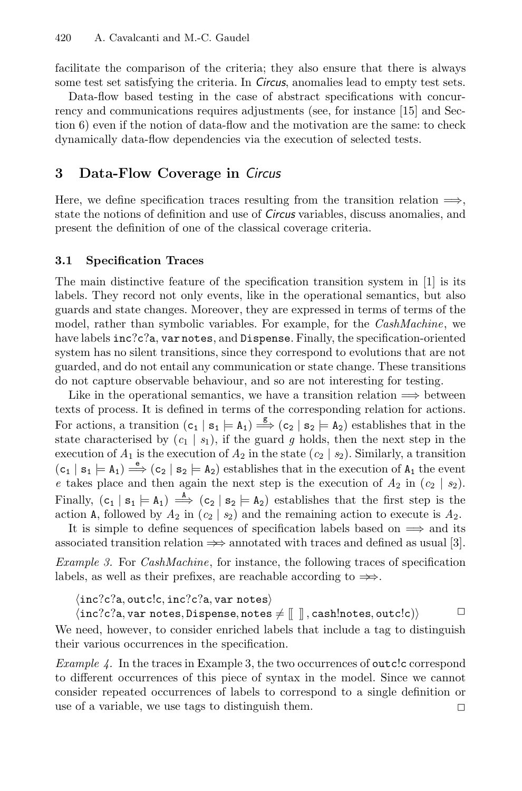facilitate the comparison of the criteria; they also ensure that there is always some test set satisfying the criteria. In *Circus*, anomalies lead to empty test sets.

Data-flow based testing in the case of abstract specifications with concurrency and communications requires adjustments (see, for instance [15] and Section 6) even if the notion of data-flow and the motivation are the same: to check dynamically data-flow dependencies via the execution of selected tests.

# **3 Data-Flow Coverage in** *Circus*

Here, we define specification traces resulting from the transition relation  $\Longrightarrow$ , state the notions of definition and use of *Circus* variables, discuss anomalies, and present the definition of one of the classical coverage criteria.

## **3.1 Specification Traces**

The main distinctive feature of the specification transition system in [1] is its labels. They record not only events, like in the operational semantics, but also guards and state changes. Moreover, they are expressed in terms of terms of the model, rather than symbolic variables. For example, for the *CashMachine*, we have labels inc?c?a, var notes, and Dispense. Finally, the specification-oriented system has no silent transitions, since they correspond to evolutions that are not guarded, and do not entail any communication or state change. These transitions do not capture observable behaviour, and so are not interesting for testing.

Like in the operational semantics, we have a transition relation  $\implies$  between texts of process. It is defined in terms of the corresponding relation for actions. For actions, a transition  $(c_1 | s_1 = A_1) \stackrel{g}{\Longrightarrow} (c_2 | s_2 = A_2)$  establishes that in the state characterised by  $(c_1 | s_1)$ , if the guard g holds, then the next step in the execution of  $A_1$  is the execution of  $A_2$  in the state  $(c_2 | s_2)$ . Similarly, a transition  $(c_1 | s_1 \models A_1) \stackrel{e}{\Longrightarrow} (c_2 | s_2 \models A_2)$  establishes that in the execution of  $A_1$  the event *e* takes place and then again the next step is the execution of  $A_2$  in  $(c_2 | s_2)$ . Finally,  $(c_1 | s_1 \models A_1) \stackrel{A}{\Longrightarrow} (c_2 | s_2 \models A_2)$  establishes that the first step is the action A, followed by  $A_2$  in  $(c_2 | s_2)$  and the remaining action to execute is  $A_2$ .

It is simple to define sequences of specification labels based on  $\implies$  and its associated transition relation  $\Rightarrow$  annotated with traces and defined as usual [3].

*Example 3.* For *CashMachine*, for instance, the following traces of specification labels, as well as their prefixes, are reachable according to  $\Rightarrow$ .

 $\langle inc?c?a, outc!c, inc?c?a, var notes \rangle$ 

 $\langle \texttt{inc?c?a}, \texttt{var notes}, \texttt{Dispense}, \texttt{notes} \neq [\![\!]$ , cash!notes, outc!c) $\rangle$ We need, however, to consider enriched labels that include a tag to distinguish their various occurrences in the specification.

*Example 4.* In the traces in Example 3, the two occurrences of outcle correspond to different occurrences of this piece of syntax in the model. Since we cannot consider repeated occurrences of labels to correspond to a single definition or use of a variable, we use tags to distinguish them.  $\Box$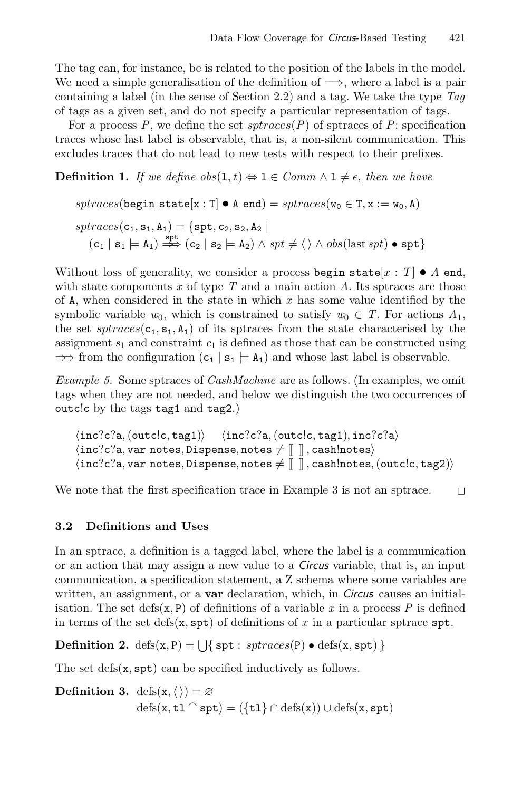The tag can, for instance, be is related to the position of the labels in the model. We need a simple generalisation of the definition of  $\implies$ , where a label is a pair containing a label (in the sense of Section 2.2) and a tag. We take the type *Tag* of tags as a given set, and do not specify a particular representation of tags.

For a process  $P$ , we define the set  $spraces(P)$  of sptraces of  $P$ : specification traces whose last label is observable, that is, a non-silent communication. This excludes traces that do not lead to new tests with respect to their prefixes.

**Definition 1.** *If we define*  $obs(1, t) \Leftrightarrow 1 \in Comm \wedge 1 \neq \epsilon$ *, then we have* 

$$
\begin{aligned} sptraces(\text{begin state}[x:1]\bullet\text{A end}) = sptraces(\texttt{w}_0\in\texttt{T},x:=\texttt{w}_0,\texttt{A})\\ sptraces(\texttt{c}_1,\texttt{s}_1,\texttt{A}_1) = \left\{ \texttt{spt},\texttt{c}_2,\texttt{s}_2,\texttt{A}_2 \ \middle| \right. \\ (\texttt{c}_1\mid\texttt{s}_1\models\texttt{A}_1) \stackrel{\texttt{spt}}{\Rightarrow} (\texttt{c}_2\mid\texttt{s}_2\models\texttt{A}_2) \land spt \neq \langle \rangle \land obs(\text{last} \textit{spt}) \bullet \textit{spt} \} \end{aligned}
$$

Without loss of generality, we consider a process begin state  $[x : T] \bullet A$  end, with state components *x* of type *T* and a main action *A*. Its sptraces are those of A, when considered in the state in which *x* has some value identified by the symbolic variable  $w_0$ , which is constrained to satisfy  $w_0 \in T$ . For actions  $A_1$ , the set  $sptraces(c_1, s_1, A_1)$  of its sptraces from the state characterised by the assignment  $s_1$  and constraint  $c_1$  is defined as those that can be constructed using  $\Rightarrow$  from the configuration  $(c_1 | s_1 \models A_1)$  and whose last label is observable.

*Example 5.* Some sptraces of *CashMachine* are as follows. (In examples, we omit tags when they are not needed, and below we distinguish the two occurrences of outc!c by the tags tag1 and tag2.)

```
\langle inc?c?a, (outc!c, tag1) \rangle \langle inc?c?a, (outc!c, tag1), inc?c?a \rangle\langle \texttt{inc?c?a}, \texttt{var notes}, \texttt{Dispense}, \texttt{notes} \neq [\![\!], cash!notes\rangle\langle \texttt{inc?c?a}, \texttt{var notes}, \texttt{Dispense}, \texttt{notes} \neq [\![ ~~ ]\!], \texttt{cash!notes}, (\texttt{outclc}, \texttt{tag2})\rangle
```
We note that the first specification trace in Example 3 is not an sptrace.  $\Box$ 

## **3.2 Definitions and Uses**

In an sptrace, a definition is a tagged label, where the label is a communication or an action that may assign a new value to a *Circus* variable, that is, an input communication, a specification statement, a Z schema where some variables are written, an assignment, or a **var** declaration, which, in *Circus* causes an initialisation. The set defs $(x, P)$  of definitions of a variable x in a process P is defined in terms of the set defs( $x$ ,  $spt$ ) of definitions of  $x$  in a particular sptrace  $spt$ .

**Definition 2.** defs $(x, P) = \bigcup \{ \text{ spt} : \text{sptraces}(P) \bullet \text{defs}(x, \text{spt}) \}$ 

The set  $\text{defs}(x, \text{spt})$  can be specified inductively as follows.

**Definition 3.** defs $(x, \langle \rangle) = \emptyset$  $\text{defs}(\mathbf{x}, \mathsf{t} \mathbf{1} \cap \mathsf{spt}) = (\{\mathsf{t} \mathbf{1}\} \cap \text{defs}(\mathbf{x})) \cup \text{defs}(\mathbf{x}, \mathsf{spt})$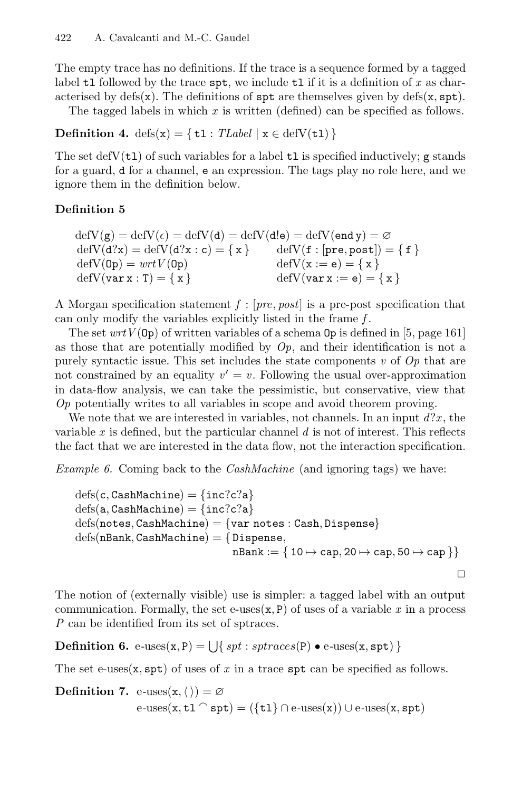The empty trace has no definitions. If the trace is a sequence formed by a tagged label tl followed by the trace spt, we include tl if it is a definition of x as characterised by defs(x). The definitions of  $spt$  are themselves given by defs(x,  $spt$ ).

The tagged labels in which *x* is written (defined) can be specified as follows.

**Definition 4.** defs(x) = { $t1$  : *TLabel* | x  $\in$  defV( $t1$ ) }

The set defV $(t_1)$  of such variables for a label  $t_1$  is specified inductively; g stands for a guard, d for a channel, e an expression. The tags play no role here, and we ignore them in the definition below.

## **Definition 5**

```
\det V(g) = \det V(\epsilon) = \det V(d) = \det V(d!e) = \det V(e \text{nd } y) = \varnothingdefV(d?x) = defV(d?x : c) = { x } defV(f : [pre, post]) = { f } defV(0p) = wrtV(0p) defV(x := e) = { x }
\text{defV}(\text{Op}) = wrtV(\text{Op})<br>\text{defV}(\text{var } x : T) = \{ x \}\text{defV}(var x := e) = \{ x \}
```
A Morgan specification statement *f* : [*pre*, *post*] is a pre-post specification that can only modify the variables explicitly listed in the frame *f* .

The set  $wrtV(\mathsf{Op})$  of written variables of a schema  $\mathsf{Op}$  is defined in [5, page 161] as those that are potentially modified by  $Op$ , and their identification is not a purely syntactic issue. This set includes the state components *v* of *Op* that are not constrained by an equality  $v' = v$ . Following the usual over-approximation in data-flow analysis, we can take the pessimistic, but conservative, view that *Op* potentially writes to all variables in scope and avoid theorem proving.

We note that we are interested in variables, not channels. In an input *d*?*x* , the variable *x* is defined, but the particular channel *d* is not of interest. This reflects the fact that we are interested in the data flow, not the interaction specification.

*Example 6.* Coming back to the *CashMachine* (and ignoring tags) we have:

$$
\begin{aligned} \mathrm{defs}(c,\mathrm{CashMachine})&=\{\verb"inc?c?a}\\\ \mathrm{defs}(a,\mathrm{CashMachine})&=\{\verb"inc?c?a}\\\ \mathrm{defs}(\verb|notes,CashMachine)|&=\{\verb"var notes: Cash, Dispense}\\\ \mathrm{defs}(\verb|nBank,CashMachine)|&=\{\verb|Dispense|,\phantom{absn} \\\verb|nBank:=\{\verb|10\mapsto\verb;cap,20\mapsto\verb;cap,50\mapsto\verb;cap|\}\}\end{aligned}
$$

The notion of (externally visible) use is simpler: a tagged label with an output communication. Formally, the set e-uses $(x, P)$  of uses of a variable x in a process *P* can be identified from its set of sptraces.

**Definition 6.** e-uses(x, P) =  $\bigcup$ { *spt* : *sptraces*(P)  $\bullet$  e-uses(x, spt) }

The set e-uses $(x, spt)$  of uses of  $x$  in a trace  $spt$  can be specified as follows.

**Definition 7.** e-uses $(x, \langle \rangle) = \emptyset$  $e$ -uses(x, tl  $\cap$  spt) = ({tl}  $\cap$  e-uses(x)) ∪ e-uses(x, spt)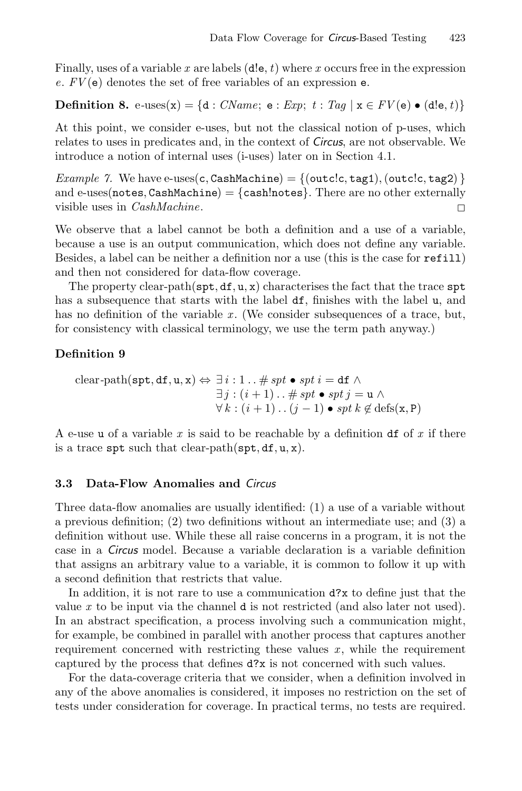Finally, uses of a variable *x* are labels (d!e, *t*) where *x* occurs free in the expression *e*. *FV* (e) denotes the set of free variables of an expression e.

### **Definition 8.** e-uses(x) = {d : *CName*; e : *Exp*;  $t : Tag \mid x \in FV(e) \bullet (de, t)$ }

At this point, we consider e-uses, but not the classical notion of p-uses, which relates to uses in predicates and, in the context of *Circus*, are not observable. We introduce a notion of internal uses (i-uses) later on in Section 4.1.

*Example 7.* We have e-uses(c, CashMachine) =  $\{(\text{outc.c}, \text{tag1}), (\text{outc.c}, \text{tag2})\}$ and e-uses(notes, CashMachine) = {cash!notes}. There are no other externally visible uses in *CashMachine*. visible uses in *CashMachine*.

We observe that a label cannot be both a definition and a use of a variable, because a use is an output communication, which does not define any variable. Besides, a label can be neither a definition nor a use (this is the case for refill) and then not considered for data-flow coverage.

The property clear-path( $\mathsf{spt}, \mathsf{df}, \mathsf{u}, \mathsf{x}$ ) characterises the fact that the trace  $\mathsf{spt}$ has a subsequence that starts with the label  $df$ , finishes with the label u, and has no definition of the variable x. (We consider subsequences of a trace, but, for consistency with classical terminology, we use the term path anyway.)

### **Definition 9**

clear-path(spt, df, u, x) 
$$
\Leftrightarrow \exists i : 1 \dots \# spt \bullet spt i = df \land
$$
  
\n $\exists j : (i + 1) \dots \# spt \bullet spt j = u \land$   
\n $\forall k : (i + 1) \dots (j - 1) \bullet spt k \notin defs(x, P)$ 

A e-use u of a variable *x* is said to be reachable by a definition df of *x* if there is a trace spt such that clear-path(spt,  $df, u, x$ ).

### **3.3 Data-Flow Anomalies and** *Circus*

Three data-flow anomalies are usually identified: (1) a use of a variable without a previous definition; (2) two definitions without an intermediate use; and (3) a definition without use. While these all raise concerns in a program, it is not the case in a *Circus* model. Because a variable declaration is a variable definition that assigns an arbitrary value to a variable, it is common to follow it up with a second definition that restricts that value.

In addition, it is not rare to use a communication d?x to define just that the value *x* to be input via the channel d is not restricted (and also later not used). In an abstract specification, a process involving such a communication might, for example, be combined in parallel with another process that captures another requirement concerned with restricting these values  $x$ , while the requirement captured by the process that defines d?x is not concerned with such values.

For the data-coverage criteria that we consider, when a definition involved in any of the above anomalies is considered, it imposes no restriction on the set of tests under consideration for coverage. In practical terms, no tests are required.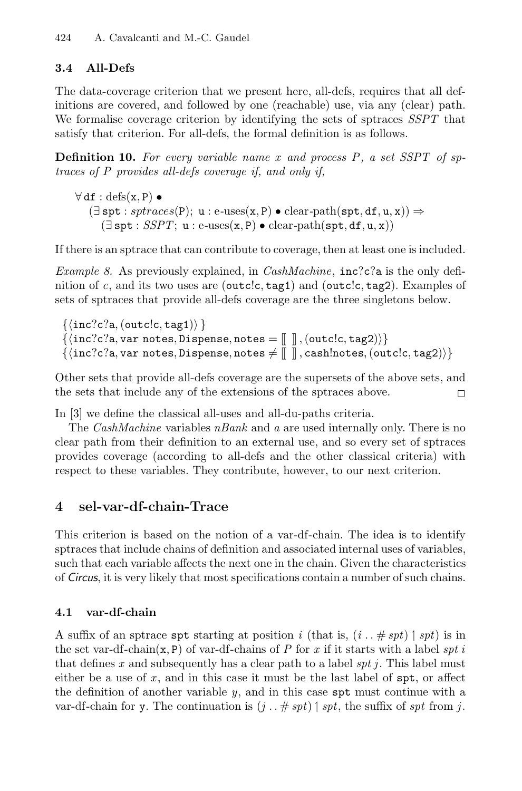# **3.4 All-Defs**

The data-coverage criterion that we present here, all-defs, requires that all definitions are covered, and followed by one (reachable) use, via any (clear) path. We formalise coverage criterion by identifying the sets of sptraces *SSPT* that satisfy that criterion. For all-defs, the formal definition is as follows.

**Definition 10.** For every variable name x and process P, a set SSPT of sp*traces of P provides all-defs coverage if, and only if,*

 $\forall df : \text{defs}(x, P) \bullet$  $(\exists spt : sptraces(P); u : e-uses(x, P) \bullet clear-path(spt, df, u, x)) \Rightarrow$  $(\exists spt : SSPT; u : e-uses(x, P) \bullet clear-path(spt, df, u, x))$ 

If there is an sptrace that can contribute to coverage, then at least one is included.

*Example 8.* As previously explained, in *CashMachine*, inc?c?a is the only definition of *c*, and its two uses are (outcle, tag1) and (outcle, tag2). Examples of sets of sptraces that provide all-defs coverage are the three singletons below.

```
\{ \langle inc?c?a, (outclc, tag1) \rangle \}\{inc?c?a, var notes, Dispense, notes = \langle \cdot |, (outc!c, tag2)}
\{\langle \texttt{inc?c?a}, \texttt{var notes}, \texttt{Dispense}, \texttt{notes} \neq [\![\!] \text{ }, \texttt{cash}! \texttt{notes}, (\texttt{outclc}, \texttt{tag2}) \rangle \}
```
Other sets that provide all-defs coverage are the supersets of the above sets, and the sets that include any of the extensions of the sptraces above.  $\Box$ 

In [3] we define the classical all-uses and all-du-paths criteria.

The *CashMachine* variables *nBank* and *a* are used internally only. There is no clear path from their definition to an external use, and so every set of sptraces provides coverage (according to all-defs and the other classical criteria) with respect to these variables. They contribute, however, to our next criterion.

# **4 sel-var-df-chain-Trace**

This criterion is based on the notion of a var-df-chain. The idea is to identify sptraces that include chains of definition and associated internal uses of variables, such that each variable affects the next one in the chain. Given the characteristics of *Circus*, it is very likely that most specifications contain a number of such chains.

# **4.1 var-df-chain**

A suffix of an sptrace spt starting at position *i* (that is,  $(i \cdot \cdot \# spt)$ ) is in the set var-df-chain(x, P) of var-df-chains of *P* for *x* if it starts with a label *spt i* that defines *x* and subsequently has a clear path to a label *spt j*. This label must either be a use of  $x$ , and in this case it must be the last label of  $spt$ , or affect the definition of another variable *y*, and in this case spt must continue with a var-df-chain for y. The continuation is  $(j \cdot \ldots \# spt) \upharpoonright spt$ , the suffix of *spt* from *j*.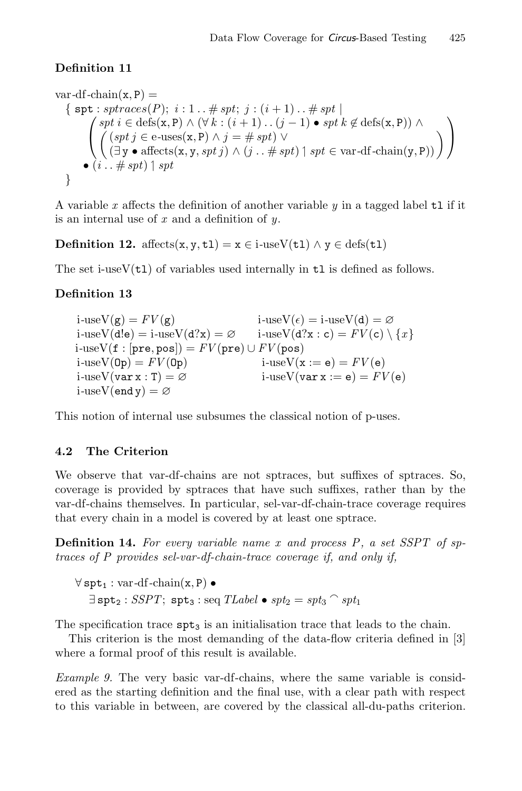# **Definition 11**

var-df-chain(x, P) =  
\n{ spt : 
$$
sptraces(P)
$$
;  $i : 1 ... \# spt$ ;  $j : (i + 1) ... \# spt |$   
\n
$$
\begin{pmatrix}\n spt i \in def(s(x, P) \land (\forall k : (i + 1) ... (j - 1) \bullet spt k \notin def(s(x, P)) \land \\
 ((spt j \in e-\text{uses}(x, P) \land j = \# spt) \lor \\
 (\exists y \bullet affects(x, y, spt j) \land (j ... \# spt) \mid spt \in \text{var-df-chain}(y, P))\n\end{pmatrix}
$$

A variable *x* affects the definition of another variable *y* in a tagged label tl if it is an internal use of *x* and a definition of *y*.

**Definition 12.** affects(x, y, t1) =  $x \in i$ -useV(t1)  $\land y \in \text{defs}(t1)$ 

The set i-use $V(t1)$  of variables used internally in  $t1$  is defined as follows.

# **Definition 13**

 $i$ -useV(g) =  $FV(g)$  i-useV( $\epsilon$ ) = i-useV(d) = ∅  $i$ -useV(d!e) =  $i$ -useV(d?x) = ∅ i<sup>-useV(d?x : c) =  $FV(c) \setminus \{x\}$ </sup> *i*-useV(f : [pre, pos]) =  $FV$ (pre) ∪  $FV$ (pos)<br>*i*-useV(0p) =  $FV$ (0p)  $\qquad$  *i*-useV(x  $i$ -use $V(x := e) = FV(e)$  $i$ -useV(var x : T) =  $\varnothing$   $i$ -useV(var x := e) =  $FV(e)$  $i$ -useV(end y) =  $\varnothing$ 

This notion of internal use subsumes the classical notion of p-uses.

## **4.2 The Criterion**

We observe that var-df-chains are not sptraces, but suffixes of sptraces. So, coverage is provided by sptraces that have such suffixes, rather than by the var-df-chains themselves. In particular, sel-var-df-chain-trace coverage requires that every chain in a model is covered by at least one sptrace.

**Definition 14.** *For every variable name x and process P , a set SSPT of sptraces of P provides sel-var-df-chain-trace coverage if, and only if,*

∀ spt<sup>1</sup> : var*-*df*-*chain(x, P) •  $\exists$  spt<sub>2</sub> : *SSPT*; spt<sub>3</sub> : seq *TLabel* • *spt<sub>2</sub>* = *spt<sub>3</sub>*  $\cap$  *spt<sub>1</sub>* 

The specification trace  $spt_3$  is an initialisation trace that leads to the chain.

This criterion is the most demanding of the data-flow criteria defined in [3] where a formal proof of this result is available.

*Example 9.* The very basic var-df-chains, where the same variable is considered as the starting definition and the final use, with a clear path with respect to this variable in between, are covered by the classical all-du-paths criterion.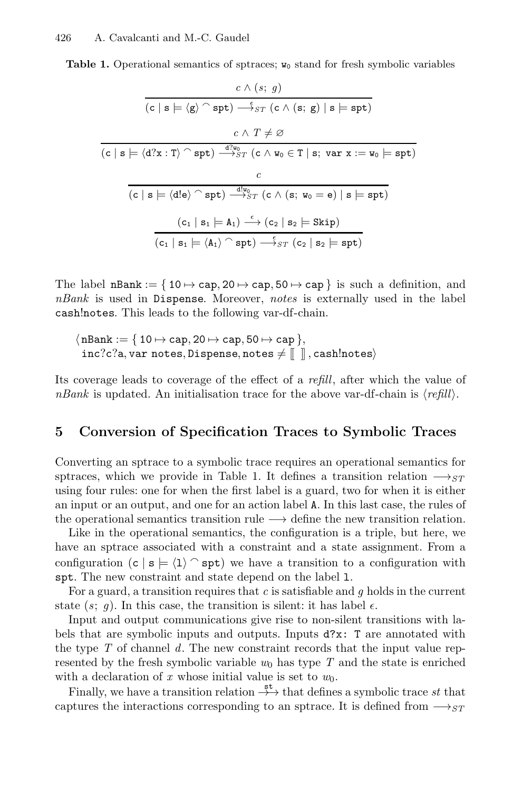**Table 1.** Operational semantics of sptraces;  $w_0$  stand for fresh symbolic variables

$$
\cfrac{c \wedge (s; g)}{(c | s | \leq \langle g \rangle \cap \text{spt}) \longrightarrow_{ST} (c \wedge (s; g) | s | \text{spt})} \\ \cfrac{c \wedge T \neq \varnothing}{(c | s | \langle d?x : T \rangle \cap \text{spt}) \longrightarrow_{ST}^{d?w_0} (c \wedge w_0 \in T | s; \text{var } x := w_0 | \text{spt})} \\ \cfrac{c}{(c | s | \langle d!e \rangle \cap \text{spt}) \longrightarrow_{ST}^{d?w_0} (c \wedge (s; w_0 = e) | s | \text{spt})} \\ \cfrac{(c_1 | s_1 | \in A_1) \stackrel{\epsilon}{\longrightarrow} (c_2 | s_2 | \text{skip})}{(c_1 | s_1 | \in \langle A_1 \rangle \cap \text{spt}) \longrightarrow_{ST}^{\epsilon} (c_2 | s_2 | \text{spt})}
$$

The label  $nBank := \{ 10 \mapsto cap, 20 \mapsto cap, 50 \mapsto cap \}$  is such a definition, and *nBank* is used in Dispense. Moreover, *notes* is externally used in the label cash!notes. This leads to the following var-df-chain.

$$
\langle nBank := \{ 10 \mapsto \text{cap}, 20 \mapsto \text{cap}, 50 \mapsto \text{cap} \},
$$
  
inc?c?a, var notes, Dispense, notes  $\neq [\ ]$ , cash!notes

Its coverage leads to coverage of the effect of a *refill*, after which the value of *nBank* is updated. An initialisation trace for the above var-df-chain is  $\langle \text{refill} \rangle$ .

# **5 Conversion of Specification Traces to Symbolic Traces**

Converting an sptrace to a symbolic trace requires an operational semantics for sptraces, which we provide in Table 1. It defines a transition relation  $\rightarrow$ *ST* using four rules: one for when the first label is a guard, two for when it is either an input or an output, and one for an action label A. In this last case, the rules of the operational semantics transition rule  $\longrightarrow$  define the new transition relation.

Like in the operational semantics, the configuration is a triple, but here, we have an sptrace associated with a constraint and a state assignment. From a configuration  $(c | s | \leq (1)$  spt) we have a transition to a configuration with spt. The new constraint and state depend on the label l.

For a guard, a transition requires that *c* is satisfiable and *g* holds in the current state  $(s; q)$ . In this case, the transition is silent: it has label  $\epsilon$ .

Input and output communications give rise to non-silent transitions with labels that are symbolic inputs and outputs. Inputs d?x: T are annotated with the type *T* of channel *d*. The new constraint records that the input value represented by the fresh symbolic variable  $w_0$  has type  $T$  and the state is enriched with a declaration of  $x$  whose initial value is set to  $w_0$ .

Finally, we have a transition relation  $\stackrel{\text{st}}{\longrightarrow}$  that defines a symbolic trace *st* that captures the interactions corresponding to an sptrace. It is defined from  $\longrightarrow_{ST}$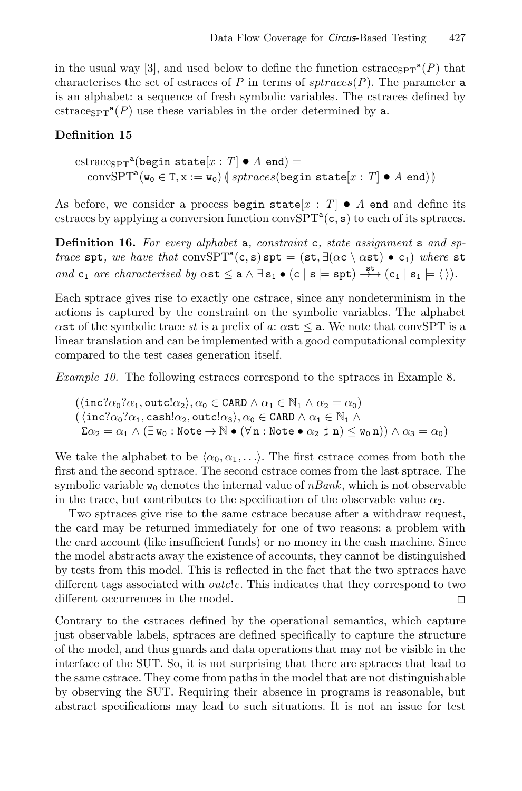in the usual way [3], and used below to define the function cstrace<sub>SPT</sub><sup>a</sup>(*P*) that characterises the set of cstraces of *P* in terms of  $sptraces(P)$ . The parameter **a** is an alphabet: a sequence of fresh symbolic variables. The cstraces defined by cstrace<sub>SPT</sub><sup>a</sup>(*P*) use these variables in the order determined by a.

### **Definition 15**

 $\operatorname{cstrace}_{\text{SPT}}^{\text{a}}$ (begin state $[x : T] \bullet A$  end) =  $\text{convSPT}^{\mathbf{a}}(\mathbf{w}_{0} \in \mathbf{T}, \mathbf{x} := \mathbf{w}_{0}) \left( \text{sptraces}(\text{begin state}[x : T] \bullet A \text{ end}) \right)$ 

As before, we consider a process begin state  $[x : T] \bullet A$  end and define its cstraces by applying a conversion function conv $SPT^a(c, s)$  to each of its sptraces.

**Definition 16.** *For every alphabet* a*, constraint* c*, state assignment* s *and sptrace* spt, we have that convSPT<sup>a</sup>(c, s) spt = (st,  $\exists (\alpha c \setminus \alpha s t) \bullet c_1$ ) where st *and*  $c_1$  *are characterised by*  $\alpha$ st  $\leq a \wedge \exists s_1 \bullet (c \mid s \models spt) \rightarrow^{st} (c_1 \mid s_1 \models \langle \rangle).$ 

Each sptrace gives rise to exactly one cstrace, since any nondeterminism in the actions is captured by the constraint on the symbolic variables. The alphabet  $\alpha$ st of the symbolic trace *st* is a prefix of  $a: \alpha$ st  $\leq a$ . We note that convSPT is a linear translation and can be implemented with a good computational complexity compared to the test cases generation itself.

*Example 10.* The following cstraces correspond to the sptraces in Example 8.

$$
(\langle \text{inc?}\alpha_0?\alpha_1, \text{outcl}\alpha_2 \rangle, \alpha_0 \in \text{CARD} \land \alpha_1 \in \mathbb{N}_1 \land \alpha_2 = \alpha_0)
$$
  

$$
(\langle \text{inc?}\alpha_0?\alpha_1, \text{cash!}\alpha_2, \text{outcl}\alpha_3 \rangle, \alpha_0 \in \text{CARD} \land \alpha_1 \in \mathbb{N}_1 \land
$$
  

$$
\Sigma\alpha_2 = \alpha_1 \land (\exists \mathbf{w}_0 : \text{Note} \rightarrow \mathbb{N} \bullet (\forall \mathbf{n} : \text{Note} \bullet \alpha_2 \nparallel \mathbf{n}) \leq \mathbf{w}_0 \mathbf{n})) \land \alpha_3 = \alpha_0)
$$

We take the alphabet to be  $\langle \alpha_0, \alpha_1, \ldots \rangle$ . The first cstrace comes from both the first and the second sptrace. The second cstrace comes from the last sptrace. The symbolic variable  $w_0$  denotes the internal value of  $nBank$ , which is not observable in the trace, but contributes to the specification of the observable value  $\alpha_2$ .

Two sptraces give rise to the same cstrace because after a withdraw request, the card may be returned immediately for one of two reasons: a problem with the card account (like insufficient funds) or no money in the cash machine. Since the model abstracts away the existence of accounts, they cannot be distinguished by tests from this model. This is reflected in the fact that the two sptraces have different tags associated with *outc*!*c*. This indicates that they correspond to two different occurrences in the model.  $\Box$ 

Contrary to the cstraces defined by the operational semantics, which capture just observable labels, sptraces are defined specifically to capture the structure of the model, and thus guards and data operations that may not be visible in the interface of the SUT. So, it is not surprising that there are sptraces that lead to the same cstrace. They come from paths in the model that are not distinguishable by observing the SUT. Requiring their absence in programs is reasonable, but abstract specifications may lead to such situations. It is not an issue for test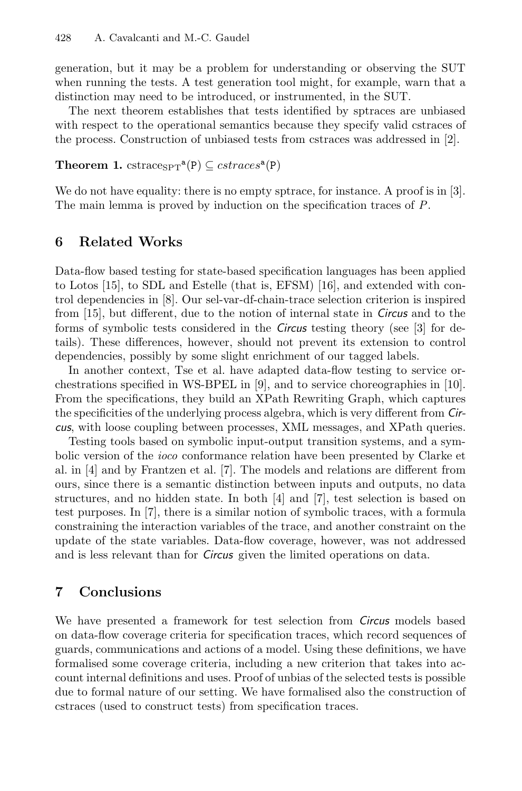generation, but it may be a problem for understanding or observing the SUT when running the tests. A test generation tool might, for example, warn that a distinction may need to be introduced, or instrumented, in the SUT.

The next theorem establishes that tests identified by sptraces are unbiased with respect to the operational semantics because they specify valid cstraces of the process. Construction of unbiased tests from cstraces was addressed in [2].

### **Theorem 1.** cstrace<sub>SPT</sub><sup>a</sup>(P)  $\subseteq$  cstraces<sup>a</sup>(P)

We do not have equality: there is no empty sptrace, for instance. A proof is in [3]. The main lemma is proved by induction on the specification traces of *P*.

# **6 Related Works**

Data-flow based testing for state-based specification languages has been applied to Lotos [15], to SDL and Estelle (that is, EFSM) [16], and extended with control dependencies in [8]. Our sel-var-df-chain-trace selection criterion is inspired from [15], but different, due to the notion of internal state in *Circus* and to the forms of symbolic tests considered in the *Circus* testing theory (see [3] for details). These differences, however, should not prevent its extension to control dependencies, possibly by some slight enrichment of our tagged labels.

In another context, Tse et al. have adapted data-flow testing to service orchestrations specified in WS-BPEL in [9], and to service choreographies in [10]. From the specifications, they build an XPath Rewriting Graph, which captures the specificities of the underlying process algebra, which is very different from *Circus*, with loose coupling between processes, XML messages, and XPath queries.

Testing tools based on symbolic input-output transition systems, and a symbolic version of the *ioco* conformance relation have been presented by Clarke et al. in [4] and by Frantzen et al. [7]. The models and relations are different from ours, since there is a semantic distinction between inputs and outputs, no data structures, and no hidden state. In both [4] and [7], test selection is based on test purposes. In [7], there is a similar notion of symbolic traces, with a formula constraining the interaction variables of the trace, and another constraint on the update of the state variables. Data-flow coverage, however, was not addressed and is less relevant than for *Circus* given the limited operations on data.

# **7 Conclusions**

We have presented a framework for test selection from *Circus* models based on data-flow coverage criteria for specification traces, which record sequences of guards, communications and actions of a model. Using these definitions, we have formalised some coverage criteria, including a new criterion that takes into account internal definitions and uses. Proof of unbias of the selected tests is possible due to formal nature of our setting. We have formalised also the construction of cstraces (used to construct tests) from specification traces.